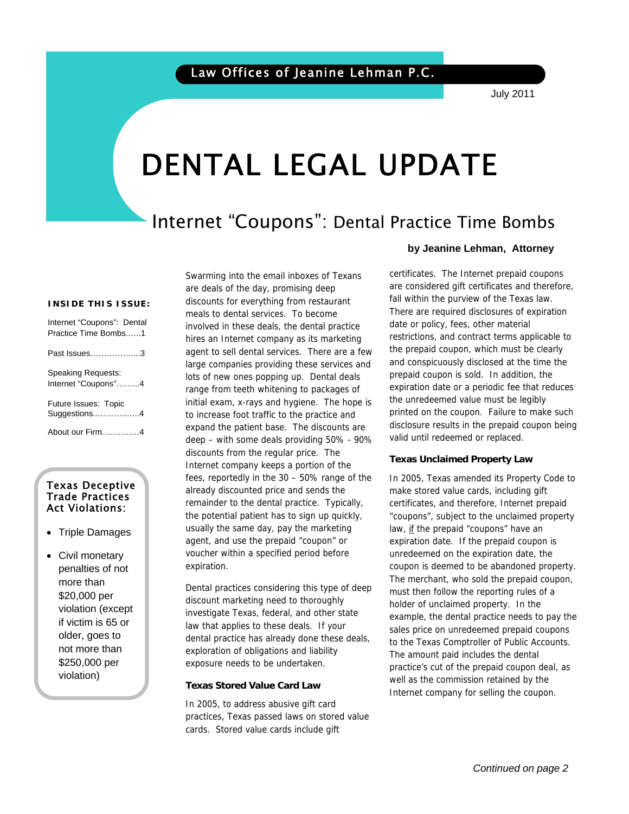# DENTAL LEGAL UPDATE

# Internet "Coupons": Dental Practice Time Bombs

#### **INSIDE THIS ISSUE:**

| Internet "Coupons": Dental<br>Practice Time Bombs1 |
|----------------------------------------------------|
| Past Issues………………3                                 |
| Speaking Requests:<br>Internet "Coupons"4          |
| Future Issues: Topic<br>Suggestions4               |
| About our Firm4                                    |

#### Texas Deceptive Trade Practices Act Violations:

- Triple Damages
- Civil monetary penalties of not more than \$20,000 per violation (except if victim is 65 or older, goes to not more than \$250,000 per violation)

Swarming into the email inboxes of Texans are deals of the day, promising deep discounts for everything from restaurant meals to dental services. To become involved in these deals, the dental practice hires an Internet company as its marketing agent to sell dental services. There are a few large companies providing these services and lots of new ones popping up. Dental deals range from teeth whitening to packages of initial exam, x-rays and hygiene. The hope is to increase foot traffic to the practice and expand the patient base. The discounts are deep – with some deals providing 50% - 90% discounts from the regular price. The Internet company keeps a portion of the fees, reportedly in the 30 – 50% range of the already discounted price and sends the remainder to the dental practice. Typically, the potential patient has to sign up quickly, usually the same day, pay the marketing agent, and use the prepaid "coupon" or voucher within a specified period before expiration.

Dental practices considering this type of deep discount marketing need to thoroughly investigate Texas, federal, and other state law that applies to these deals. If your dental practice has already done these deals, exploration of obligations and liability exposure needs to be undertaken.

#### **Texas Stored Value Card Law**

In 2005, to address abusive gift card practices, Texas passed laws on stored value cards. Stored value cards include gift

#### **by Jeanine Lehman, Attorney**

certificates. The Internet prepaid coupons are considered gift certificates and therefore, fall within the purview of the Texas law. There are required disclosures of expiration date or policy, fees, other material restrictions, and contract terms applicable to the prepaid coupon, which must be clearly and conspicuously disclosed at the time the prepaid coupon is sold. In addition, the expiration date or a periodic fee that reduces the unredeemed value must be legibly printed on the coupon. Failure to make such disclosure results in the prepaid coupon being valid until redeemed or replaced.

#### **Texas Unclaimed Property Law**

In 2005, Texas amended its Property Code to make stored value cards, including gift certificates, and therefore, Internet prepaid "coupons", subject to the unclaimed property law, if the prepaid "coupons" have an expiration date. If the prepaid coupon is unredeemed on the expiration date, the coupon is deemed to be abandoned property. The merchant, who sold the prepaid coupon, must then follow the reporting rules of a holder of unclaimed property. In the example, the dental practice needs to pay the sales price on unredeemed prepaid coupons to the Texas Comptroller of Public Accounts. The amount paid includes the dental practice's cut of the prepaid coupon deal, as well as the commission retained by the Internet company for selling the coupon.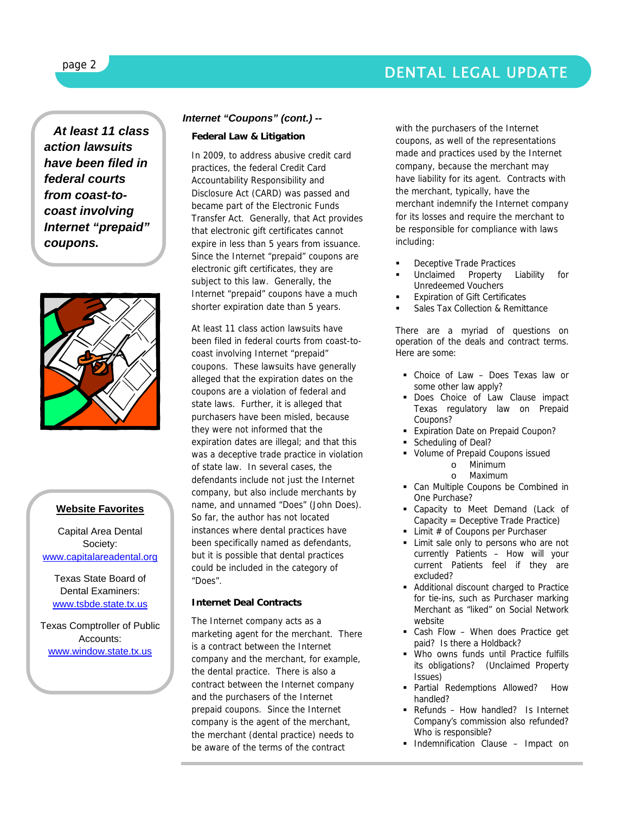## DENTAL LEGAL UPDATE

*At least 11 class action lawsuits have been filed in federal courts from coast-tocoast involving Internet "prepaid" coupons.* 



#### **Website Favorites**

Capital Area Dental Society: www.capitalareadental.org

Texas State Board of Dental Examiners: www.tsbde.state.tx.us

Texas Comptroller of Public Accounts: www.window.state.tx.us

#### *Internet "Coupons" (cont.) --*

#### **Federal Law & Litigation**

In 2009, to address abusive credit card practices, the federal Credit Card Accountability Responsibility and Disclosure Act (CARD) was passed and became part of the Electronic Funds Transfer Act. Generally, that Act provides that electronic gift certificates cannot expire in less than 5 years from issuance. Since the Internet "prepaid" coupons are electronic gift certificates, they are subject to this law. Generally, the Internet "prepaid" coupons have a much shorter expiration date than 5 years.

At least 11 class action lawsuits have been filed in federal courts from coast-tocoast involving Internet "prepaid" coupons. These lawsuits have generally alleged that the expiration dates on the coupons are a violation of federal and state laws. Further, it is alleged that purchasers have been misled, because they were not informed that the expiration dates are illegal; and that this was a deceptive trade practice in violation of state law. In several cases, the defendants include not just the Internet company, but also include merchants by name, and unnamed "Does" (John Does). So far, the author has not located instances where dental practices have been specifically named as defendants, but it is possible that dental practices could be included in the category of "Does".

#### **Internet Deal Contracts**

The Internet company acts as a marketing agent for the merchant. There is a contract between the Internet company and the merchant, for example, the dental practice. There is also a contract between the Internet company and the purchasers of the Internet prepaid coupons. Since the Internet company is the agent of the merchant, the merchant (dental practice) needs to be aware of the terms of the contract

with the purchasers of the Internet coupons, as well of the representations made and practices used by the Internet company, because the merchant may have liability for its agent. Contracts with the merchant, typically, have the merchant indemnify the Internet company for its losses and require the merchant to be responsible for compliance with laws including:

- Deceptive Trade Practices
- Unclaimed Property Liability for Unredeemed Vouchers
- Expiration of Gift Certificates
- Sales Tax Collection & Remittance

There are a myriad of questions on operation of the deals and contract terms. Here are some:

- Choice of Law Does Texas law or some other law apply?
- Does Choice of Law Clause impact Texas regulatory law on Prepaid Coupons?
- **Expiration Date on Prepaid Coupon?**
- Scheduling of Deal?
- Volume of Prepaid Coupons issued o Minimum
	- o Maximum
	-
- Can Multiple Coupons be Combined in One Purchase?
- Capacity to Meet Demand (Lack of Capacity = Deceptive Trade Practice)
- Limit  $#$  of Coupons per Purchaser
- **Limit sale only to persons who are not** currently Patients – How will your current Patients feel if they are excluded?
- Additional discount charged to Practice for tie-ins, such as Purchaser marking Merchant as "liked" on Social Network website
- Cash Flow When does Practice get paid? Is there a Holdback?
- Who owns funds until Practice fulfills its obligations? (Unclaimed Property Issues)
- Partial Redemptions Allowed? How handled?
- Refunds How handled? Is Internet Company's commission also refunded? Who is responsible?
- **Indemnification Clause Impact on**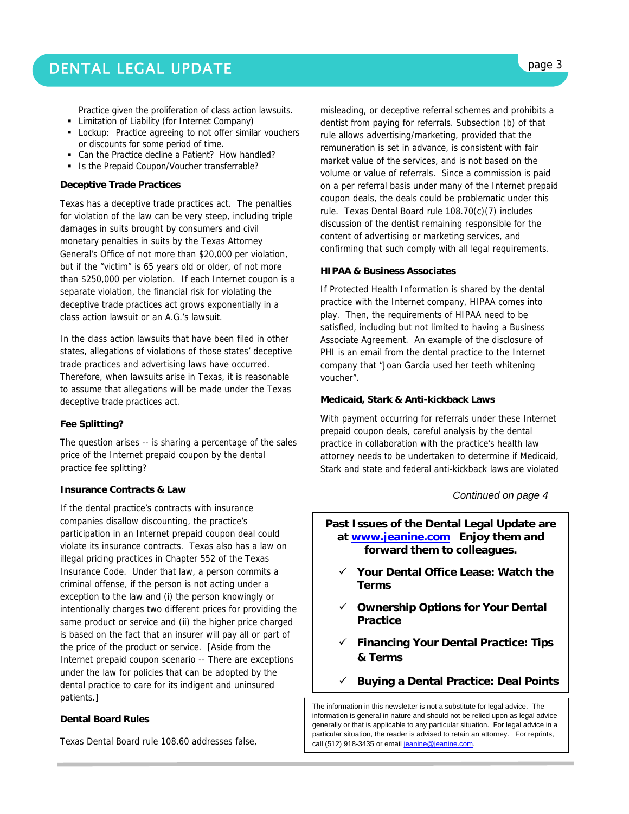Practice given the proliferation of class action lawsuits.

- **EXECUTE:** Limitation of Liability (for Internet Company)
- **Lockup:** Practice agreeing to not offer similar vouchers or discounts for some period of time.
- Can the Practice decline a Patient? How handled?
- Is the Prepaid Coupon/Voucher transferrable?

#### **Deceptive Trade Practices**

Texas has a deceptive trade practices act. The penalties for violation of the law can be very steep, including triple damages in suits brought by consumers and civil monetary penalties in suits by the Texas Attorney General's Office of not more than \$20,000 per violation, but if the "victim" is 65 years old or older, of not more than \$250,000 per violation. If each Internet coupon is a separate violation, the financial risk for violating the deceptive trade practices act grows exponentially in a class action lawsuit or an A.G.'s lawsuit.

In the class action lawsuits that have been filed in other states, allegations of violations of those states' deceptive trade practices and advertising laws have occurred. Therefore, when lawsuits arise in Texas, it is reasonable to assume that allegations will be made under the Texas deceptive trade practices act.

#### **Fee Splitting?**

The question arises -- is sharing a percentage of the sales price of the Internet prepaid coupon by the dental practice fee splitting?

#### **Insurance Contracts & Law**

If the dental practice's contracts with insurance companies disallow discounting, the practice's participation in an Internet prepaid coupon deal could violate its insurance contracts. Texas also has a law on illegal pricing practices in Chapter 552 of the Texas Insurance Code. Under that law, a person commits a criminal offense, if the person is not acting under a exception to the law and (i) the person knowingly or intentionally charges two different prices for providing the same product or service and (ii) the higher price charged is based on the fact that an insurer will pay all or part of the price of the product or service. [Aside from the Internet prepaid coupon scenario -- There are exceptions under the law for policies that can be adopted by the dental practice to care for its indigent and uninsured patients.]

#### **Dental Board Rules**

Texas Dental Board rule 108.60 addresses false,

misleading, or deceptive referral schemes and prohibits a dentist from paying for referrals. Subsection (b) of that rule allows advertising/marketing, provided that the remuneration is set in advance, is consistent with fair market value of the services, and is not based on the volume or value of referrals. Since a commission is paid on a per referral basis under many of the Internet prepaid coupon deals, the deals could be problematic under this rule. Texas Dental Board rule 108.70(c)(7) includes discussion of the dentist remaining responsible for the content of advertising or marketing services, and confirming that such comply with all legal requirements.

#### **HIPAA & Business Associates**

If Protected Health Information is shared by the dental practice with the Internet company, HIPAA comes into play. Then, the requirements of HIPAA need to be satisfied, including but not limited to having a Business Associate Agreement. An example of the disclosure of PHI is an email from the dental practice to the Internet company that "Joan Garcia used her teeth whitening voucher".

#### **Medicaid, Stark & Anti-kickback Laws**

With payment occurring for referrals under these Internet prepaid coupon deals, careful analysis by the dental practice in collaboration with the practice's health law attorney needs to be undertaken to determine if Medicaid, Stark and state and federal anti-kickback laws are violated

#### *Continued on page 4*

#### **Past Issues of the Dental Legal Update are at www.jeanine.com Enjoy them and forward them to colleagues.**

- 9 **Your Dental Office Lease: Watch the Terms**
- 9 **Ownership Options for Your Dental Practice**
- 9 **Financing Your Dental Practice: Tips & Terms**
- 9 **Buying a Dental Practice: Deal Points**

The information in this newsletter is not a substitute for legal advice. The information is general in nature and should not be relied upon as legal advice generally or that is applicable to any particular situation. For legal advice in a particular situation, the reader is advised to retain an attorney. For reprints, call (512) 918-3435 or email jeanine@jeanine.com.